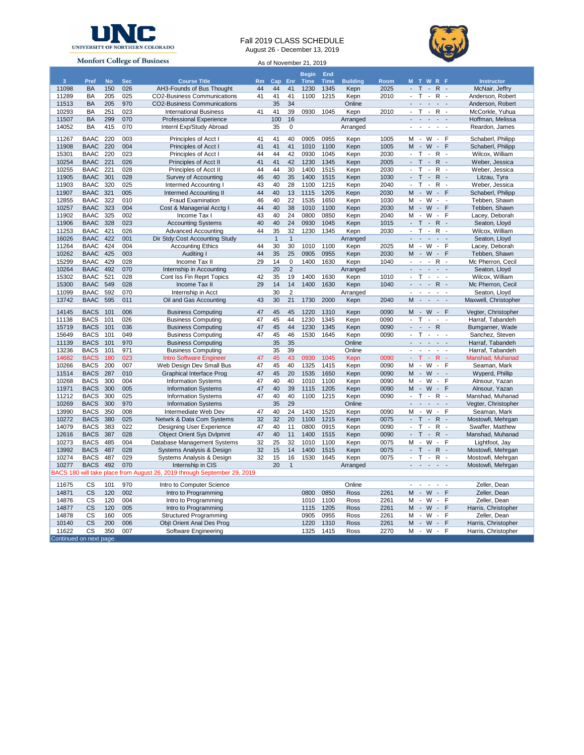

## Fall 2019 CLASS SCHEDULE





| <b>MONIOR COREGE OF DUSINESS</b>                                         |             |           |            |                                    |    |              |                 | As of November 21, 2019 |             |                 |      |                                                                                                                                                                                                                                                                                                                                    |                      |  |
|--------------------------------------------------------------------------|-------------|-----------|------------|------------------------------------|----|--------------|-----------------|-------------------------|-------------|-----------------|------|------------------------------------------------------------------------------------------------------------------------------------------------------------------------------------------------------------------------------------------------------------------------------------------------------------------------------------|----------------------|--|
|                                                                          |             |           |            |                                    |    |              |                 | <b>Begin</b>            | End         |                 |      |                                                                                                                                                                                                                                                                                                                                    |                      |  |
| $\overline{3}$                                                           | Pref        | <b>No</b> | <b>Sec</b> | <b>Course Title</b>                | Rm | Cap Enr      |                 | Time                    | <b>Time</b> | <b>Building</b> | Room | M T W R F                                                                                                                                                                                                                                                                                                                          | <b>Instructor</b>    |  |
| 11098                                                                    | <b>BA</b>   | 150       | 026        | AH3-Founds of Bus Thought          | 44 | 44           | 41              | 1230                    | 1345        | Kepn            | 2025 | $-T - R$ -                                                                                                                                                                                                                                                                                                                         | McNair, Jeffry       |  |
|                                                                          |             |           |            |                                    |    |              |                 |                         |             |                 |      | $T - 1$                                                                                                                                                                                                                                                                                                                            |                      |  |
| 11289                                                                    | BA          | 205       | 025        | CO2-Business Communications        | 41 | 41           | 41              | 1100                    | 1215        | Kepn            | 2010 | $R -$<br>$\overline{\phantom{a}}$                                                                                                                                                                                                                                                                                                  | Anderson, Robert     |  |
| 11513                                                                    | BA          | 205       | 970        | <b>CO2-Business Communications</b> |    | 35           | 34              |                         |             | Online          |      | $\mathcal{L}$<br>$\mathbb{Z}^+$<br>$\blacksquare$<br>$\Box$                                                                                                                                                                                                                                                                        | Anderson, Robert     |  |
| 10293                                                                    | BA          | 251       | 023        | <b>International Business</b>      | 41 | 41           | 39              | 0930                    | 1045        | Kepn            | 2010 | $\sim$<br>$\mathsf{T}$<br>$R -$<br>$\sim$                                                                                                                                                                                                                                                                                          | McCorkle, Yuhua      |  |
| 11507                                                                    | <b>BA</b>   | 299       | 070        | <b>Professional Experience</b>     |    | 100          | 16              |                         |             | Arranged        |      | $\omega_{\rm{max}}$<br>$\overline{a}$<br>$\overline{\phantom{a}}$                                                                                                                                                                                                                                                                  | Hoffman, Melissa     |  |
| 14052                                                                    | BA          | 415       | 070        | Internl Exp/Study Abroad           |    | 35           | 0               |                         |             | Arranged        |      | $\blacksquare$<br>$\blacksquare$<br>$\overline{\phantom{a}}$<br>$\mathbf{r}$                                                                                                                                                                                                                                                       | Reardon, James       |  |
|                                                                          |             |           |            |                                    |    |              |                 |                         |             |                 |      |                                                                                                                                                                                                                                                                                                                                    |                      |  |
| 11267                                                                    | <b>BAAC</b> | 220       | 003        | Principles of Acct I               | 41 | 41           | 40              | 0905                    | 0955        | Kepn            | 1005 | - W<br>м<br>$\sim$<br>F                                                                                                                                                                                                                                                                                                            | Schaberl, Philipp    |  |
| 11908                                                                    | <b>BAAC</b> | 220       | 004        | Principles of Acct I               | 41 | 41           | 41              | 1010                    | 1100        | Kepn            | 1005 | $-W -$<br>F<br>M                                                                                                                                                                                                                                                                                                                   | Schaberl, Philipp    |  |
| 15301                                                                    | <b>BAAC</b> | 220       | 023        | Principles of Acct I               | 44 | 44           | 42              | 0930                    | 1045        | Kepn            | 2030 | $T - 1$<br>R<br>$\overline{\phantom{a}}$<br>$\sim$                                                                                                                                                                                                                                                                                 | Wilcox, William      |  |
| 10254                                                                    | <b>BAAC</b> | 221       | 026        | Principles of Acct II              | 41 | 41           | 42              | 1230                    | 1345        | Kepn            | 2005 | $\mathbb{Z}^{\times}$<br>$T -$<br>$R -$                                                                                                                                                                                                                                                                                            | Weber, Jessica       |  |
| 10255                                                                    | <b>BAAC</b> | 221       | 028        | Principles of Acct II              | 44 | 44           | 30              | 1400                    | 1515        | Kepn            | 2030 | $\mathsf{T}$<br>$\sim$<br>$R -$<br>$\blacksquare$                                                                                                                                                                                                                                                                                  | Weber, Jessica       |  |
| 11905                                                                    | <b>BAAC</b> | 301       | 028        | Survey of Accounting               | 46 | 40           | 35              | 1400                    | 1515        | Kepn            | 1030 | $T -$<br>$R -$<br>$\mathbb{Z}^{\times}$                                                                                                                                                                                                                                                                                            | Litzau, Tyra         |  |
| 11903                                                                    | <b>BAAC</b> | 320       | 025        | Intermed Accounting I              | 43 | 40           | 28              | 1100                    | 1215        | Kepn            | 2040 | $T - 1$<br>$\blacksquare$<br>$R -$                                                                                                                                                                                                                                                                                                 | Weber, Jessica       |  |
| 11907                                                                    | <b>BAAC</b> | 321       | 005        | <b>Intermed Accounting II</b>      | 44 | 40           | 13              | 1115                    | 1205        | Kepn            | 2030 | $-W - F$<br>м                                                                                                                                                                                                                                                                                                                      | Schaberl, Philipp    |  |
| 12855                                                                    | <b>BAAC</b> | 322       | 010        | Fraud Examination                  | 46 | 40           | 22              | 1535                    | 1650        | Kepn            | 1030 | $\sim$<br>W<br>м<br>$\sim$                                                                                                                                                                                                                                                                                                         | Tebben, Shawn        |  |
| 10257                                                                    | <b>BAAC</b> | 323       | 004        | Cost & Managerial Acctg I          | 44 | 40           | 38              | 1010                    | 1100        | Kepn            | 2030 | $-W - F$<br>M                                                                                                                                                                                                                                                                                                                      | Tebben, Shawn        |  |
| 11902                                                                    | <b>BAAC</b> | 325       | 002        | Income Tax I                       | 43 | 40           | $\overline{24}$ | 0800                    | 0850        | Kepn            | 2040 | $-W -$<br>M<br>F                                                                                                                                                                                                                                                                                                                   | Lacey, Deborah       |  |
| 11906                                                                    | <b>BAAC</b> | 328       | 023        | <b>Accounting Systems</b>          | 40 | 40           | 24              | 0930                    | 1045        |                 | 1015 | $-T - R$ -                                                                                                                                                                                                                                                                                                                         | Seaton, Lloyd        |  |
|                                                                          |             |           |            |                                    |    |              |                 |                         |             | Kepn            |      | $\mathcal{L}_{\mathcal{A}}$                                                                                                                                                                                                                                                                                                        |                      |  |
| 11253                                                                    | <b>BAAC</b> | 421       | 026        | <b>Advanced Accounting</b>         | 44 | 35           | 32              | 1230                    | 1345        | Kepn            | 2030 | $T - 1$<br>$R -$                                                                                                                                                                                                                                                                                                                   | Wilcox, William      |  |
| 16026                                                                    | <b>BAAC</b> | 422       | 001        | Dir Stdy:Cost Accounting Study     |    | $\mathbf{1}$ | $\mathbf{1}$    |                         |             | Arranged        |      | $\mathbb{Z}^+$<br>$\omega_{\rm{max}}$<br>$\sim$ $ \sim$                                                                                                                                                                                                                                                                            | Seaton, Lloyd        |  |
| 11264                                                                    | <b>BAAC</b> | 424       | 004        | <b>Accounting Ethics</b>           | 44 | 30           | 30              | 1010                    | 1100        | Kepn            | 2025 | $M - W -$<br>F                                                                                                                                                                                                                                                                                                                     | Lacey, Deborah       |  |
| 10262                                                                    | <b>BAAC</b> | 425       | 003        | Auditing I                         | 44 | 35           | 25              | 0905                    | 0955        | Kepn            | 2030 | M - W - F                                                                                                                                                                                                                                                                                                                          | Tebben, Shawn        |  |
| 15299                                                                    | <b>BAAC</b> | 429       | 028        | Income Tax II                      | 29 | 14           | 0               | 1400                    | 1630        | Kepn            | 1040 | $- - - R$<br>$\overline{\phantom{a}}$                                                                                                                                                                                                                                                                                              | Mc Pherron, Cecil    |  |
| 10264                                                                    | <b>BAAC</b> | 492       | 070        | Internship in Accounting           |    | 20           | $\overline{c}$  |                         |             | Arranged        |      | $\sim$<br>$\sim$ 10 $\sim$<br>$\sim$                                                                                                                                                                                                                                                                                               | Seaton, Lloyd        |  |
| 15302                                                                    | <b>BAAC</b> | 521       | 028        | Cont Iss Fin Reprt Topics          | 42 | 35           | 19              | 1400                    | 1630        | Kepn            | 1010 | $T - 1$<br>$\mathcal{L}_{\mathcal{A}}$<br>$\mathbf{r}$                                                                                                                                                                                                                                                                             | Wilcox, William      |  |
| 15300                                                                    | <b>BAAC</b> | 549       | 028        | Income Tax II                      | 29 | 14           | 14              | 1400                    | 1630        | Kepn            | 1040 | $\omega_{\rm{eff}}$ , $\omega_{\rm{eff}}$ , $\omega_{\rm{eff}}$<br>$\mathsf{R}$<br>$\sim$                                                                                                                                                                                                                                          | Mc Pherron, Cecil    |  |
| 11099                                                                    | <b>BAAC</b> | 592       | 070        | Internship in Acct                 |    | 30           | $\overline{2}$  |                         |             | Arranged        |      | $\sim 100$<br>$\sim$<br>$\sim$<br>$\sim$                                                                                                                                                                                                                                                                                           | Seaton, Lloyd        |  |
| 13742                                                                    | <b>BAAC</b> | 595       | 011        | Oil and Gas Accounting             | 43 | 30           | 21              | 1730                    | 2000        | Kepn            | 2040 | M - - - -                                                                                                                                                                                                                                                                                                                          | Maxwell, Christopher |  |
|                                                                          |             |           |            |                                    |    |              |                 |                         |             |                 |      |                                                                                                                                                                                                                                                                                                                                    |                      |  |
| 14145                                                                    | <b>BACS</b> | 101       | 006        | <b>Business Computing</b>          | 47 | 45           | 45              | 1220                    | 1310        | Kepn            | 0090 | M - W - F                                                                                                                                                                                                                                                                                                                          | Vegter, Christopher  |  |
| 11138                                                                    | <b>BACS</b> | 101       | 026        | <b>Business Computing</b>          | 47 | 45           | 44              | 1230                    | 1345        | Kepn            | 0090 | $T - 1$<br>$\mathcal{L}_{\mathcal{A}}$<br>$\sim$                                                                                                                                                                                                                                                                                   | Harraf, Tabandeh     |  |
| 15719                                                                    | <b>BACS</b> | 101       | 036        | <b>Business Computing</b>          | 47 | 45           | 44              | 1230                    | 1345        | Kepn            | 0090 | $\omega_{\rm{eff}}$ and $\omega_{\rm{eff}}$<br>$\mathsf{R}$                                                                                                                                                                                                                                                                        | Bumgarner, Wade      |  |
| 15649                                                                    | <b>BACS</b> | 101       | 049        | <b>Business Computing</b>          | 47 | 45           | 46              | 1530                    | 1645        | Kepn            | 0090 | $T \div$<br>$\mathbf{r}$<br>$\sim$                                                                                                                                                                                                                                                                                                 | Sanchez, Steven      |  |
| 11139                                                                    | <b>BACS</b> | 101       | 970        | <b>Business Computing</b>          |    | 35           | 35              |                         |             | Online          |      | $\frac{1}{2} \left( \begin{array}{ccc} 1 & 0 & 0 & 0 \\ 0 & 0 & 0 & 0 \\ 0 & 0 & 0 & 0 \end{array} \right) = \frac{1}{2} \left( \begin{array}{ccc} 1 & 0 & 0 & 0 \\ 0 & 1 & 0 & 0 \\ 0 & 0 & 0 & 0 \\ 0 & 0 & 0 & 0 \end{array} \right)$                                                                                           | Harraf, Tabandeh     |  |
| 13236                                                                    | <b>BACS</b> | 101       | 971        | <b>Business Computing</b>          |    | 35           | 39              |                         |             | Online          |      | $\sim$<br>$\mathbb{L}^2$<br>$\sim$<br>$\sim$<br>$\sim$                                                                                                                                                                                                                                                                             | Harraf, Tabandeh     |  |
| 14682                                                                    | <b>BACS</b> | 180       | 023        | <b>Intro Software Engineer</b>     | 47 | 45           | 43              | 0930                    | 1045        | Kepn            | 0090 | $T \rightarrow 0$<br>$\omega_{\rm c}$<br>$\mathsf{R}$<br>$\sim$                                                                                                                                                                                                                                                                    | Manshad, Muhanad     |  |
|                                                                          |             | 200       | 007        |                                    |    | 45           | 40              |                         |             |                 | 0090 | $M - W - F$                                                                                                                                                                                                                                                                                                                        |                      |  |
| 10266                                                                    | <b>BACS</b> |           |            | Web Design Dev Small Bus           | 47 |              |                 | 1325                    | 1415        | Kepn            |      |                                                                                                                                                                                                                                                                                                                                    | Seaman, Mark         |  |
| 11514                                                                    | <b>BACS</b> | 287       | 010        | <b>Graphical Interface Prog</b>    | 47 | 45           | 20              | 1535                    | 1650        | Kepn            | 0090 | $M - W -$                                                                                                                                                                                                                                                                                                                          | Wyperd, Phillip      |  |
| 10268                                                                    | <b>BACS</b> | 300       | 004        | <b>Information Systems</b>         | 47 | 40           | 40              | 1010                    | 1100        | Kepn            | 0090 | $-W -$<br>M<br>F                                                                                                                                                                                                                                                                                                                   | Alnsour, Yazan       |  |
| 11971                                                                    | <b>BACS</b> | 300       | 005        | <b>Information Systems</b>         | 47 | 40           | 39              | 1115                    | 1205        | Kepn            | 0090 | $M - W - F$                                                                                                                                                                                                                                                                                                                        | Alnsour, Yazan       |  |
| 11212                                                                    | <b>BACS</b> | 300       | 025        | <b>Information Systems</b>         | 47 | 40           | 40              | 1100                    | 1215        | Kepn            | 0090 | $-$ T $-$ R $-$                                                                                                                                                                                                                                                                                                                    | Manshad, Muhanad     |  |
| 10269                                                                    | <b>BACS</b> | 300       | 970        | <b>Information Systems</b>         |    | 35           | 29              |                         |             | Online          |      | $\mathbb{Z}^2$<br>$\sim$<br>$\blacksquare$<br>$\blacksquare$<br>$\blacksquare$                                                                                                                                                                                                                                                     | Vegter, Christopher  |  |
| 13990                                                                    | <b>BACS</b> | 350       | 008        | Intermediate Web Dev               | 47 | 40           | 24              | 1430                    | 1520        | Kepn            | 0090 | W<br>M<br>$\sim$<br>$\blacksquare$<br>F                                                                                                                                                                                                                                                                                            | Seaman, Mark         |  |
| 10272                                                                    | <b>BACS</b> | 380       | 025        | Netwrk & Data Com Systems          | 32 | 32           | 20              | 1100                    | 1215        | Kepn            | 0075 | $\top$<br>$\sim$<br>${\sf R}$<br>$\sim$                                                                                                                                                                                                                                                                                            | Mostowfi, Mehrgan    |  |
| 14079                                                                    | <b>BACS</b> | 383       | 022        | Designing User Experience          | 47 | 40           | 11              | 0800                    | 0915        | Kepn            | 0090 | $\mathsf{T}$<br>$\mathcal{L}^{\mathcal{A}}$<br>$\mathsf{R}$<br>$\sim$<br>$\sim$                                                                                                                                                                                                                                                    | Swaffer, Matthew     |  |
| 12616                                                                    | <b>BACS</b> | 387       | 028        | <b>Object Orient Sys Dvlpmnt</b>   | 47 | 40           | 11              | 1400                    | 1515        | Kepn            | 0090 | $T - 1$<br>$\mathsf{R}$<br>$\mathbb{Z}^{\times}$<br>$\sim$                                                                                                                                                                                                                                                                         | Manshad, Muhanad     |  |
| 10273                                                                    | <b>BACS</b> | 485       | 004        | Database Management Systems        | 32 | 25           | 32              | 1010                    | 1100        | Kepn            | 0075 | W<br>М<br>$\sim$<br>$\sim$<br>F                                                                                                                                                                                                                                                                                                    | Lightfoot, Jay       |  |
| 13992                                                                    | <b>BACS</b> | 487       | 028        | Systems Analysis & Design          | 32 | 15           | 14              | 1400                    | 1515        | Kepn            | 0075 | $T -$<br>$R -$<br>$\sim$                                                                                                                                                                                                                                                                                                           | Mostowfi, Mehrgan    |  |
|                                                                          |             |           |            |                                    |    |              |                 |                         |             |                 |      | $\mathcal{L}$                                                                                                                                                                                                                                                                                                                      |                      |  |
| 10274                                                                    | <b>BACS</b> | 487       | 029        | Systems Analysis & Design          | 32 | 15           | 16              | 1530                    | 1645        | Kepn            | 0075 | T<br>$\sim$<br>R<br>$\overline{\phantom{a}}$                                                                                                                                                                                                                                                                                       | Mostowfi, Mehrgan    |  |
| 10277                                                                    | <b>BACS</b> | 492       | 070        | Internship in CIS                  |    | 20           | $\mathbf{1}$    |                         |             | Arranged        |      | $\frac{1}{2} \left( \begin{array}{ccc} 1 & 0 & 0 & 0 & 0 \\ 0 & 0 & 0 & 0 & 0 \\ 0 & 0 & 0 & 0 & 0 \\ 0 & 0 & 0 & 0 & 0 \\ 0 & 0 & 0 & 0 & 0 \\ 0 & 0 & 0 & 0 & 0 \\ 0 & 0 & 0 & 0 & 0 \\ 0 & 0 & 0 & 0 & 0 \\ 0 & 0 & 0 & 0 & 0 \\ 0 & 0 & 0 & 0 & 0 \\ 0 & 0 & 0 & 0 & 0 \\ 0 & 0 & 0 & 0 & 0 \\ 0 & 0 & 0 & 0 & 0 \\ 0 & 0 & 0$ | Mostowfi, Mehrgan    |  |
| BACS 180 will take place from August 26, 2019 through September 29, 2019 |             |           |            |                                    |    |              |                 |                         |             |                 |      |                                                                                                                                                                                                                                                                                                                                    |                      |  |
| 11675                                                                    | <b>CS</b>   | 101       | 970        | Intro to Computer Science          |    |              |                 |                         |             | Online          |      | $\overline{\phantom{a}}$<br>$\overline{\phantom{a}}$<br>$\mathbf{r}$<br>$\sim$<br>$\overline{a}$                                                                                                                                                                                                                                   | Zeller, Dean         |  |
|                                                                          |             | 120       | 002        |                                    |    |              |                 | 0800                    | 0850        |                 |      | $M - W -$<br>F                                                                                                                                                                                                                                                                                                                     |                      |  |
| 14871                                                                    | CS          |           |            | Intro to Programming               |    |              |                 |                         |             | Ross            | 2261 |                                                                                                                                                                                                                                                                                                                                    | Zeller, Dean         |  |
| 14876                                                                    | СS          | 120       | 004        | Intro to Programming               |    |              |                 | 1010                    | 1100        | Ross            | 2261 | $M - W -$<br>E                                                                                                                                                                                                                                                                                                                     | Zeller, Dean         |  |
| 14877                                                                    | <b>CS</b>   | 120       | 005        | Intro to Programming               |    |              |                 | 1115                    | 1205        | Ross            | 2261 | M - W -<br>F                                                                                                                                                                                                                                                                                                                       | Harris, Christopher  |  |
| 14878                                                                    | CS          | 160       | 005        | <b>Structured Programming</b>      |    |              |                 | 0905                    | 0955        | Ross            | 2261 | $M - W$<br>$\blacksquare$<br>F                                                                                                                                                                                                                                                                                                     | Zeller, Dean         |  |
| 10140                                                                    | <b>CS</b>   | 200       | 006        | Objt Orient Anal Des Prog          |    |              |                 | 1220                    | 1310        | Ross            | 2261 | $M - W$<br>$\Box$<br>F                                                                                                                                                                                                                                                                                                             | Harris, Christopher  |  |
| 11622                                                                    | CS          | 350       | 007        | Software Engineering               |    |              |                 | 1325                    | 1415        | Ross            | 2270 | M - W -<br>F                                                                                                                                                                                                                                                                                                                       | Harris, Christopher  |  |
| Continued on next page.                                                  |             |           |            |                                    |    |              |                 |                         |             |                 |      |                                                                                                                                                                                                                                                                                                                                    |                      |  |